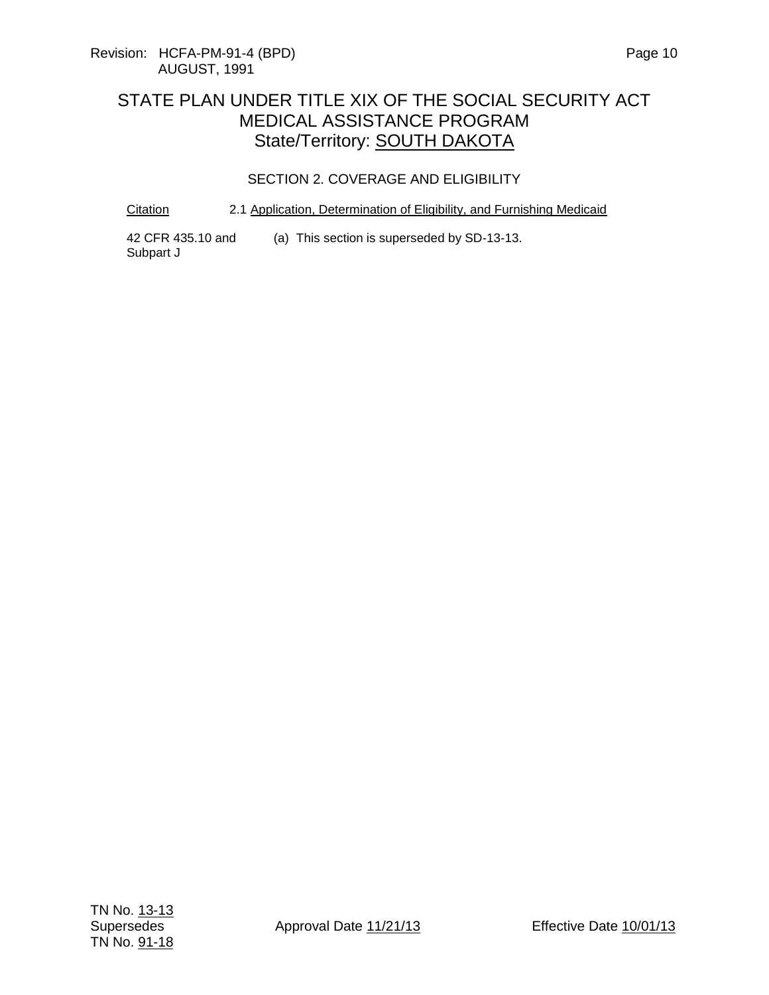#### SECTION 2. COVERAGE AND ELIGIBILITY

#### Citation 2.1 Application, Determination of Eligibility, and Furnishing Medicaid

42 CFR 435.10 and Subpart J (a) This section is superseded by SD-13-13.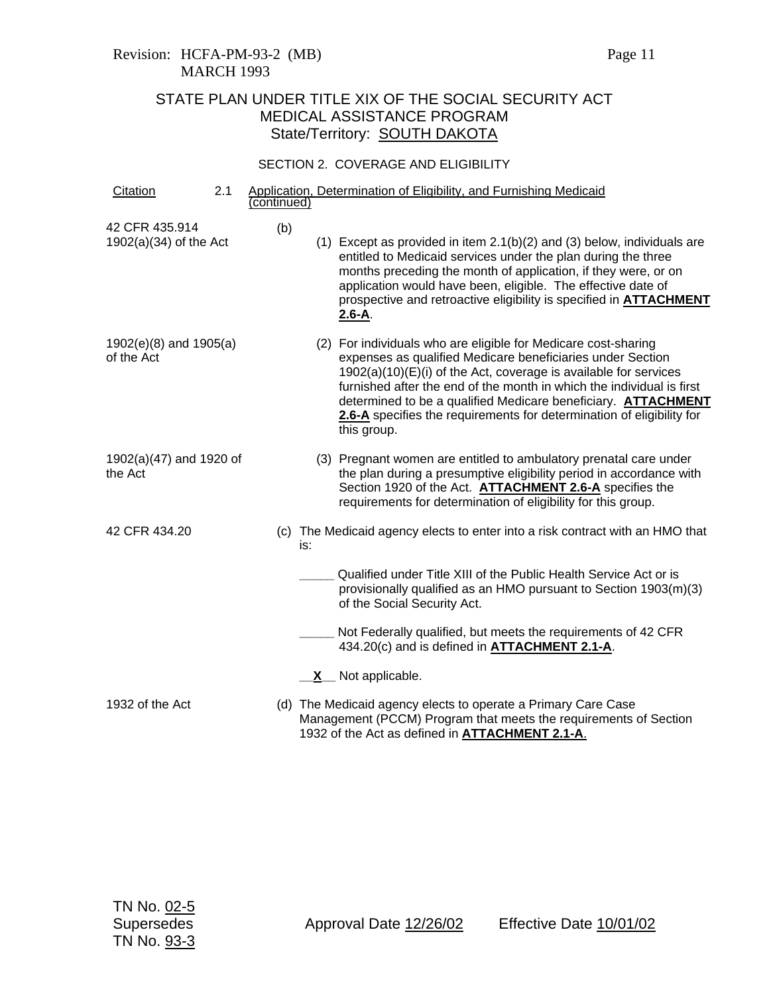#### SECTION 2. COVERAGE AND ELIGIBILITY

| Citation                                   | 2.1 | (continued) |     | Application, Determination of Eligibility, and Furnishing Medicaid                                                                                                                                                                                                                                                                                                                                                                          |
|--------------------------------------------|-----|-------------|-----|---------------------------------------------------------------------------------------------------------------------------------------------------------------------------------------------------------------------------------------------------------------------------------------------------------------------------------------------------------------------------------------------------------------------------------------------|
| 42 CFR 435.914<br>$1902(a)(34)$ of the Act |     | (b)         |     | $(1)$ Except as provided in item 2.1(b)(2) and (3) below, individuals are<br>entitled to Medicaid services under the plan during the three<br>months preceding the month of application, if they were, or on<br>application would have been, eligible. The effective date of<br>prospective and retroactive eligibility is specified in ATTACHMENT<br>$2.6 - A$ .                                                                           |
| $1902(e)(8)$ and $1905(a)$<br>of the Act   |     |             |     | (2) For individuals who are eligible for Medicare cost-sharing<br>expenses as qualified Medicare beneficiaries under Section<br>$1902(a)(10)(E)(i)$ of the Act, coverage is available for services<br>furnished after the end of the month in which the individual is first<br>determined to be a qualified Medicare beneficiary. <b>ATTACHMENT</b><br>2.6-A specifies the requirements for determination of eligibility for<br>this group. |
| 1902(a)(47) and 1920 of<br>the Act         |     |             |     | (3) Pregnant women are entitled to ambulatory prenatal care under<br>the plan during a presumptive eligibility period in accordance with<br>Section 1920 of the Act. <b>ATTACHMENT 2.6-A</b> specifies the<br>requirements for determination of eligibility for this group.                                                                                                                                                                 |
| 42 CFR 434.20                              |     |             | is: | (c) The Medicaid agency elects to enter into a risk contract with an HMO that                                                                                                                                                                                                                                                                                                                                                               |
|                                            |     |             |     | Qualified under Title XIII of the Public Health Service Act or is<br>provisionally qualified as an HMO pursuant to Section 1903(m)(3)<br>of the Social Security Act.                                                                                                                                                                                                                                                                        |
|                                            |     |             |     | Not Federally qualified, but meets the requirements of 42 CFR<br>434.20(c) and is defined in ATTACHMENT 2.1-A.                                                                                                                                                                                                                                                                                                                              |
|                                            |     |             |     | X Not applicable.                                                                                                                                                                                                                                                                                                                                                                                                                           |
| 1932 of the Act                            |     |             |     | (d) The Medicaid agency elects to operate a Primary Care Case<br>Management (PCCM) Program that meets the requirements of Section<br>1932 of the Act as defined in <b>ATTACHMENT 2.1-A.</b>                                                                                                                                                                                                                                                 |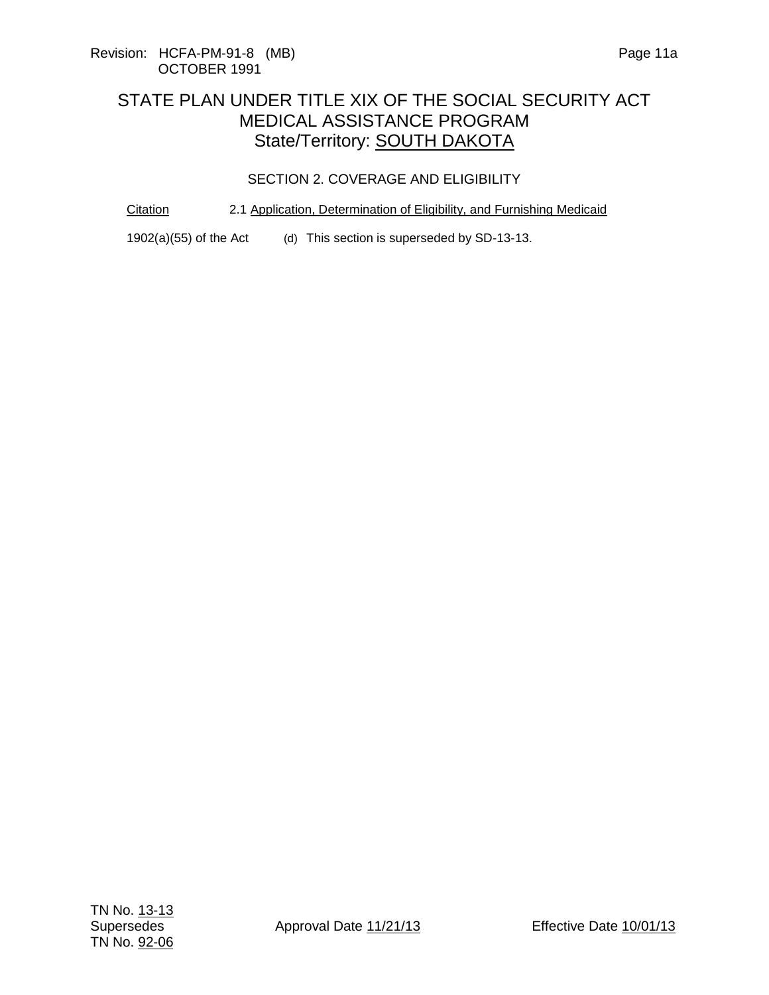#### SECTION 2. COVERAGE AND ELIGIBILITY

#### Citation 2.1 Application, Determination of Eligibility, and Furnishing Medicaid

1902(a)(55) of the Act (d) This section is superseded by SD-13-13.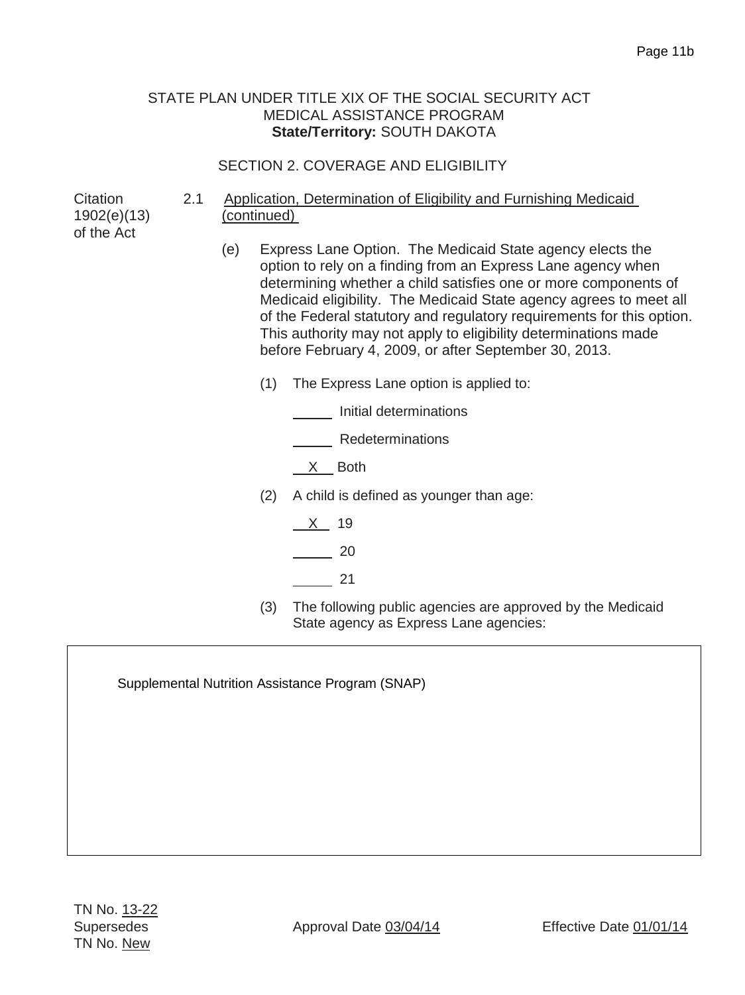## SECTION 2. COVERAGE AND ELIGIBILITY

**Citation** 1902(e)(13) of the Act

- 2.1 Application, Determination of Eligibility and Furnishing Medicaid (continued)
	- (e) Express Lane Option. The Medicaid State agency elects the option to rely on a finding from an Express Lane agency when determining whether a child satisfies one or more components of Medicaid eligibility. The Medicaid State agency agrees to meet all of the Federal statutory and regulatory requirements for this option. This authority may not apply to eligibility determinations made before February 4, 2009, or after September 30, 2013.
		- (1) The Express Lane option is applied to:
			- Initial determinations

**Nedeterminations** 

- $X$  Both
- (2) A child is defined as younger than age:
	- $X$  19
	- 20
	- 21
- (3) The following public agencies are approved by the Medicaid State agency as Express Lane agencies:

Supplemental Nutrition Assistance Program (SNAP)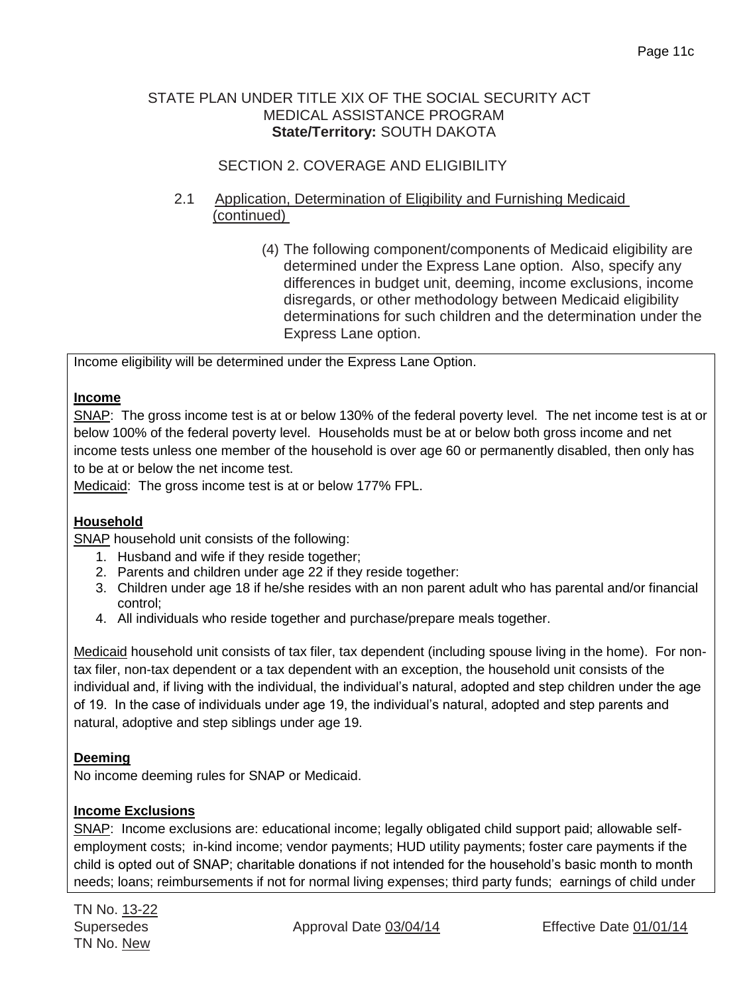## SECTION 2. COVERAGE AND ELIGIBILITY

## 2.1 Application, Determination of Eligibility and Furnishing Medicaid (continued)

(4) The following component/components of Medicaid eligibility are determined under the Express Lane option. Also, specify any differences in budget unit, deeming, income exclusions, income disregards, or other methodology between Medicaid eligibility determinations for such children and the determination under the Express Lane option.

Income eligibility will be determined under the Express Lane Option.

## **Income**

SNAP: The gross income test is at or below 130% of the federal poverty level. The net income test is at or below 100% of the federal poverty level. Households must be at or below both gross income and net income tests unless one member of the household is over age 60 or permanently disabled, then only has to be at or below the net income test.

Medicaid: The gross income test is at or below 177% FPL.

## **Household**

SNAP household unit consists of the following:

- 1. Husband and wife if they reside together;
- 2. Parents and children under age 22 if they reside together:
- 3. Children under age 18 if he/she resides with an non parent adult who has parental and/or financial control;
- 4. All individuals who reside together and purchase/prepare meals together.

Medicaid household unit consists of tax filer, tax dependent (including spouse living in the home). For nontax filer, non-tax dependent or a tax dependent with an exception, the household unit consists of the individual and, if living with the individual, the individual's natural, adopted and step children under the age of 19. In the case of individuals under age 19, the individual's natural, adopted and step parents and natural, adoptive and step siblings under age 19.

## **Deeming**

No income deeming rules for SNAP or Medicaid.

## **Income Exclusions**

SNAP: Income exclusions are: educational income; legally obligated child support paid; allowable selfemployment costs; in-kind income; vendor payments; HUD utility payments; foster care payments if the child is opted out of SNAP; charitable donations if not intended for the household's basic month to month needs; loans; reimbursements if not for normal living expenses; third party funds; earnings of child under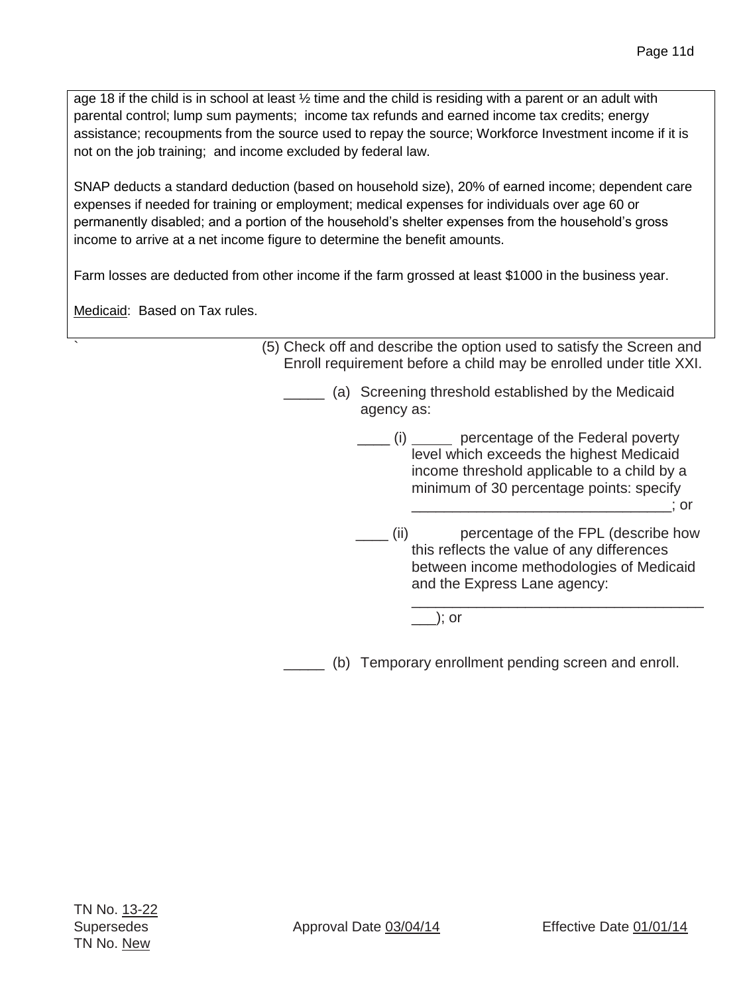age 18 if the child is in school at least ½ time and the child is residing with a parent or an adult with parental control; lump sum payments; income tax refunds and earned income tax credits; energy assistance; recoupments from the source used to repay the source; Workforce Investment income if it is not on the job training; and income excluded by federal law.

SNAP deducts a standard deduction (based on household size), 20% of earned income; dependent care expenses if needed for training or employment; medical expenses for individuals over age 60 or permanently disabled; and a portion of the household's shelter expenses from the household's gross income to arrive at a net income figure to determine the benefit amounts.

Farm losses are deducted from other income if the farm grossed at least \$1000 in the business year.

Medicaid: Based on Tax rules.

` (5) Check off and describe the option used to satisfy the Screen and Enroll requirement before a child may be enrolled under title XXI. (a) Screening threshold established by the Medicaid agency as: \_\_\_\_ (i) \_\_\_\_\_ percentage of the Federal poverty level which exceeds the highest Medicaid income threshold applicable to a child by a minimum of 30 percentage points: specify \_\_\_\_\_\_\_\_\_\_\_\_\_\_\_\_\_\_\_\_\_\_\_\_\_\_\_\_\_\_\_\_; or \_\_\_\_ (ii) percentage of the FPL (describe how this reflects the value of any differences between income methodologies of Medicaid and the Express Lane agency:

\_\_\_); or

(b) Temporary enrollment pending screen and enroll.

\_\_\_\_\_\_\_\_\_\_\_\_\_\_\_\_\_\_\_\_\_\_\_\_\_\_\_\_\_\_\_\_\_\_\_\_